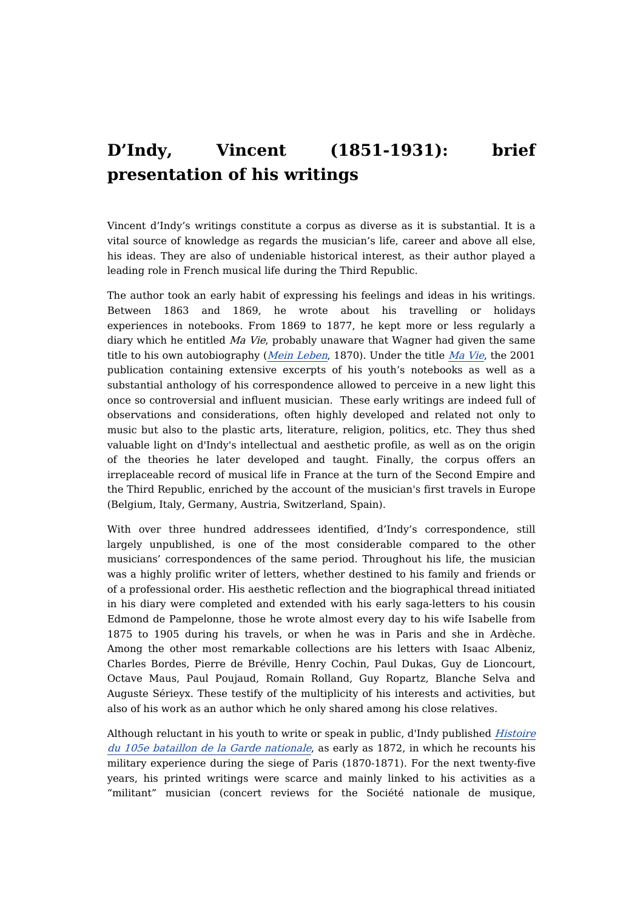## **D'Indy, Vincent (1851-1931): brief presentation of his writings**

Vincent d'Indy's writings constitute a corpus as diverse as it is substantial. It is a vital source of knowledge as regards the musician's life, career and above all else, his ideas. They are also of undeniable historical interest, as their author played a leading role in French musical life during the Third Republic.

The author took an early habit of expressing his feelings and ideas in his writings. Between 1863 and 1869, he wrote about his travelling or holidays experiences in notebooks. From 1869 to 1877, he kept more or less regularly a diary which he entitled  $Ma$  Vie, probably unaware that Wagner had given the same title to his own autobiography (Mein [Leben](https://dicteco.huma-num.fr/fr/book/2260), 1870). Under the title  $Ma$  Vie, the 2001 publication containing extensive excerpts of his youth's notebooks as well as a substantial anthology of his correspondence allowed to perceive in a new light this once so controversial and influent musician. These early writings are indeed full of observations and considerations, often highly developed and related not only to music but also to the plastic arts, literature, religion, politics, etc. They thus shed valuable light on d'Indy's intellectual and aesthetic profile, as well as on the origin of the theories he later developed and taught. Finally, the corpus offers an irreplaceable record of musical life in France at the turn of the Second Empire and the Third Republic, enriched by the account of the musician's first travels in Europe (Belgium, Italy, Germany, Austria, Switzerland, Spain).

With over three hundred addressees identified, d'Indy's correspondence, still largely unpublished, is one of the most considerable compared to the other musicians' correspondences of the same period. Throughout his life, the musician was a highly prolific writer of letters, whether destined to his family and friends or of a professional order. His aesthetic reflection and the biographical thread initiated in his diary were completed and extended with his early saga-letters to his cousin Edmond de Pampelonne, those he wrote almost every day to his wife Isabelle from 1875 to 1905 during his travels, or when he was in Paris and she in Ardèche. Among the other most remarkable collections are his letters with Isaac Albeniz, Charles Bordes, Pierre de Bréville, Henry Cochin, Paul Dukas, Guy de Lioncourt, Octave Maus, Paul Poujaud, Romain Rolland, Guy Ropartz, Blanche Selva and Auguste Sérieyx. These testify of the multiplicity of his interests and activities, but also of his work as an author which he only shared among his close relatives.

Although reluctant in his youth to write or speak in public, d'Indy [published](https://dicteco.huma-num.fr/fr/book/2113) Histoire du 105e bataillon de la Garde nationale, as early as 1872, in which he recounts his military experience during the siege of Paris (1870-1871). For the next twenty-five years, his printed writings were scarce and mainly linked to his activities as a "militant" musician (concert reviews for the Société nationale de musique,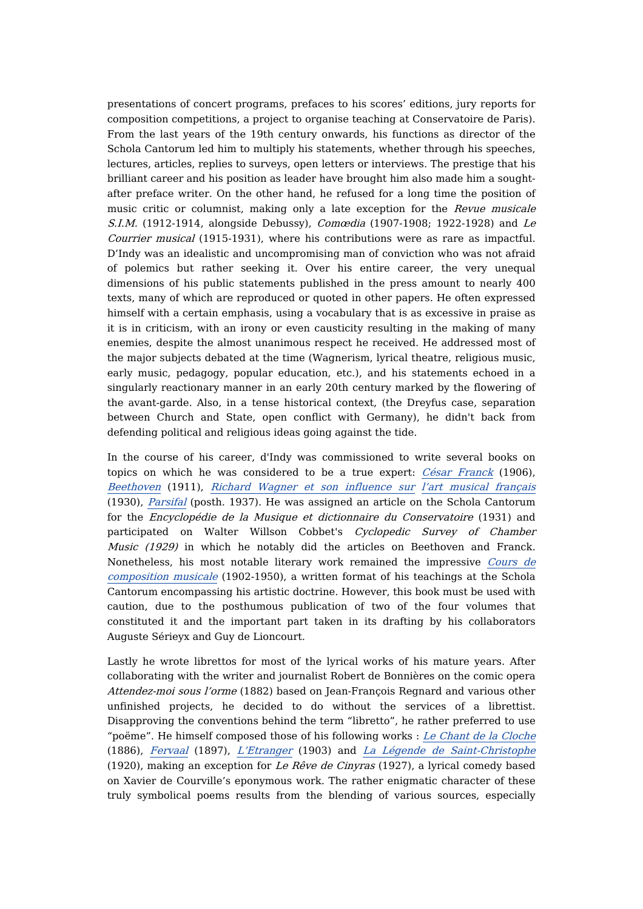presentations of concert programs, prefaces to his scores' editions, jury reports for composition competitions, a project to organise teaching at Conservatoire de Paris). From the last years of the 19th century onwards, his functions as director of the Schola Cantorum led him to multiply his statements, whether through his speeches, lectures, articles, replies to surveys, open letters or interviews. The prestige that his brilliant career and his position as leader have brought him also made him a soughtafter preface writer. On the other hand, he refused for a long time the position of music critic or columnist, making only a late exception for the Revue musicale S.I.M. (1912-1914, alongside Debussy), Comœdia (1907-1908; 1922-1928) and Le Courrier musical (1915-1931), where his contributions were as rare as impactful. D'Indy was an idealistic and uncompromising man of conviction who was not afraid of polemics but rather seeking it. Over his entire career, the very unequal dimensions of his public statements published in the press amount to nearly 400 texts, many of which are reproduced or quoted in other papers. He often expressed himself with a certain emphasis, using a vocabulary that is as excessive in praise as it is in criticism, with an irony or even causticity resulting in the making of many enemies, despite the almost unanimous respect he received. He addressed most of the major subjects debated at the time (Wagnerism, lyrical theatre, religious music, early music, pedagogy, popular education, etc.), and his statements echoed in a singularly reactionary manner in an early 20th century marked by the flowering of the avant-garde. Also, in a tense historical context, (the Dreyfus case, separation between Church and State, open conflict with Germany), he didn't back from defending political and religious ideas going against the tide.

In the course of his career, d'Indy was commissioned to write several books on topics on which he was considered to be a true expert: César [Franck](https://dicteco.huma-num.fr/fr/book/2119) (1906), [Beethoven](https://dicteco.huma-num.fr/fr/book/2125) (1911), Richard [Wagner](https://dicteco.huma-num.fr/fr/book/2127) et son influence sur l'art musical [français](https://dicteco.huma-num.fr/fr/book/2127) (1930), [Parsifal](https://dicteco.huma-num.fr/fr/book/2131) (posth. 1937). He was assigned an article on the Schola Cantorum for the Encyclopédie de la Musique et dictionnaire du Conservatoire (1931) and participated on Walter Willson Cobbet's Cyclopedic Survey of Chamber Music (1929) in which he notably did the articles on Beethoven and Franck. [Nonetheless,](https://dicteco.huma-num.fr/fr/book/2116) his most notable literary work remained the impressive Cours de composition musicale (1902-1950), a written format of his teachings at the Schola Cantorum encompassing his artistic doctrine. However, this book must be used with caution, due to the posthumous publication of two of the four volumes that constituted it and the important part taken in its drafting by his collaborators Auguste Sérieyx and Guy de Lioncourt.

Lastly he wrote librettos for most of the lyrical works of his mature years. After collaborating with the writer and journalist Robert de Bonnières on the comic opera Attendez-moi sous l'orme (1882) based on Jean-François Regnard and various other unfinished projects, he decided to do without the services of a librettist. Disapproving the conventions behind the term "libretto", he rather preferred to use "poëme". He himself composed those of his following works : Le Chant de la [Cloche](https://dicteco.huma-num.fr/fr/book/45746) (1886), [Fervaal](https://dicteco.huma-num.fr/fr/book/45752) (1897), [L'Etranger](https://dicteco.huma-num.fr/fr/book/45758) (1903) and La Légende de [Saint-Christophe](https://dicteco.huma-num.fr/fr/book/45769) (1920), making an exception for Le Rêve de Cinyras (1927), a lyrical comedy based on Xavier de Courville's eponymous work. The rather enigmatic character of these truly symbolical poems results from the blending of various sources, especially